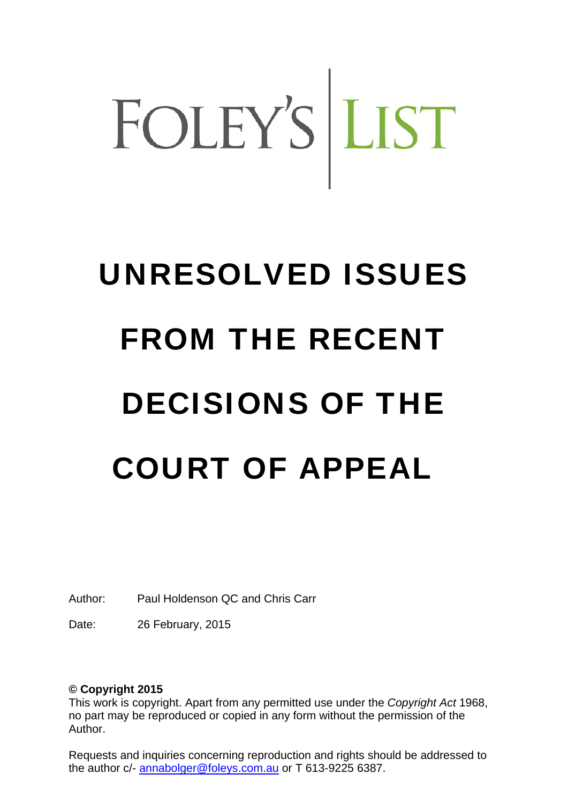# FOLEY'S LIST

## UNRESOLVED ISSUES FROM THE RECENT DECISIONS OF THE COURT OF APPEAL

Author: Paul Holdenson QC and Chris Carr

Date: 26 February, 2015

#### **© Copyright 2015**

This work is copyright. Apart from any permitted use under the *Copyright Act* 1968, no part may be reproduced or copied in any form without the permission of the Author.

Requests and inquiries concerning reproduction and rights should be addressed to the author c/- annabolger@foleys.com.au or T 613-9225 6387.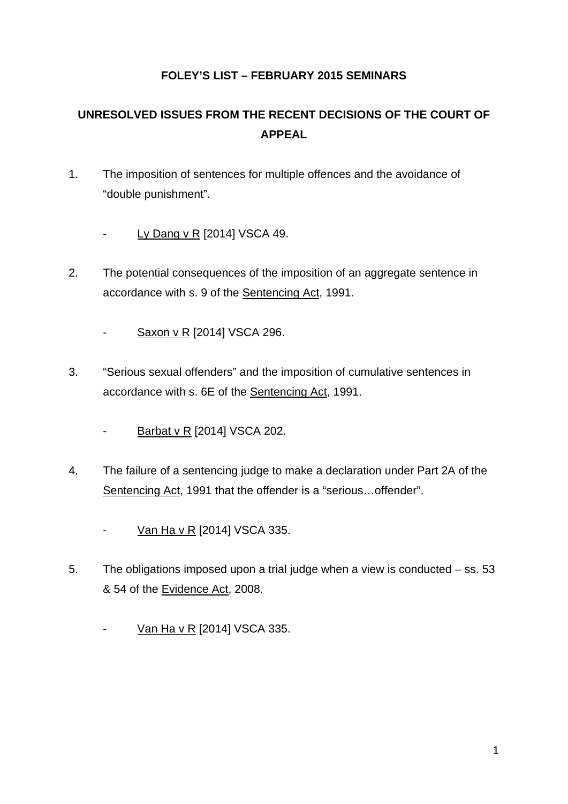#### **FOLEY'S LIST – FEBRUARY 2015 SEMINARS**

### **UNRESOLVED ISSUES FROM THE RECENT DECISIONS OF THE COURT OF APPEAL**

- 1. The imposition of sentences for multiple offences and the avoidance of "double punishment".
	- Ly Dang v R [2014] VSCA 49.
- 2. The potential consequences of the imposition of an aggregate sentence in accordance with s. 9 of the Sentencing Act, 1991.
	- Saxon v R [2014] VSCA 296.
- 3. "Serious sexual offenders" and the imposition of cumulative sentences in accordance with s. 6E of the Sentencing Act, 1991.
	- Barbat v R [2014] VSCA 202.
- 4. The failure of a sentencing judge to make a declaration under Part 2A of the Sentencing Act, 1991 that the offender is a "serious…offender".
	- Van Ha v R [2014] VSCA 335.
- 5. The obligations imposed upon a trial judge when a view is conducted ss. 53 & 54 of the Evidence Act, 2008.
	- Van Ha v R [2014] VSCA 335.